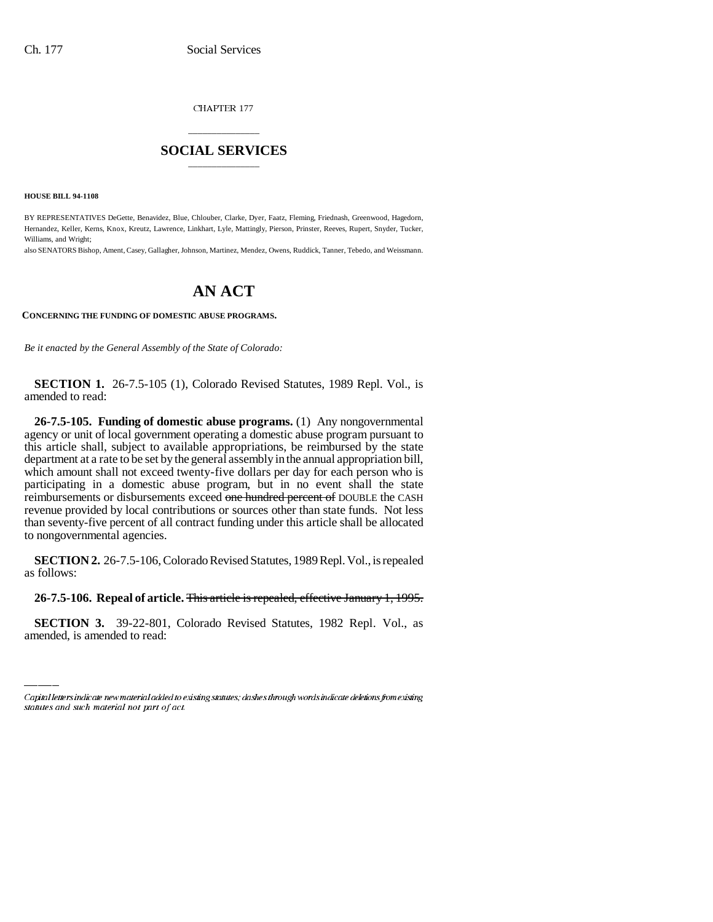CHAPTER 177

## \_\_\_\_\_\_\_\_\_\_\_\_\_\_\_ **SOCIAL SERVICES** \_\_\_\_\_\_\_\_\_\_\_\_\_\_\_

**HOUSE BILL 94-1108**

BY REPRESENTATIVES DeGette, Benavidez, Blue, Chlouber, Clarke, Dyer, Faatz, Fleming, Friednash, Greenwood, Hagedorn, Hernandez, Keller, Kerns, Knox, Kreutz, Lawrence, Linkhart, Lyle, Mattingly, Pierson, Prinster, Reeves, Rupert, Snyder, Tucker, Williams, and Wright;

also SENATORS Bishop, Ament, Casey, Gallagher, Johnson, Martinez, Mendez, Owens, Ruddick, Tanner, Tebedo, and Weissmann.

## **AN ACT**

## **CONCERNING THE FUNDING OF DOMESTIC ABUSE PROGRAMS.**

*Be it enacted by the General Assembly of the State of Colorado:*

**SECTION 1.** 26-7.5-105 (1), Colorado Revised Statutes, 1989 Repl. Vol., is amended to read:

**26-7.5-105. Funding of domestic abuse programs.** (1) Any nongovernmental agency or unit of local government operating a domestic abuse program pursuant to this article shall, subject to available appropriations, be reimbursed by the state department at a rate to be set by the general assembly in the annual appropriation bill, which amount shall not exceed twenty-five dollars per day for each person who is participating in a domestic abuse program, but in no event shall the state reimbursements or disbursements exceed one hundred percent of DOUBLE the CASH revenue provided by local contributions or sources other than state funds. Not less than seventy-five percent of all contract funding under this article shall be allocated to nongovernmental agencies.

**SECTION 2.** 26-7.5-106, Colorado Revised Statutes, 1989 Repl. Vol., is repealed as follows:

 **26-7.5-106. Repeal of article.** This article is repealed, effective January 1, 1995.

**SECTION 3.** 39-22-801, Colorado Revised Statutes, 1982 Repl. Vol., as amended, is amended to read:

Capital letters indicate new material added to existing statutes; dashes through words indicate deletions from existing statutes and such material not part of act.